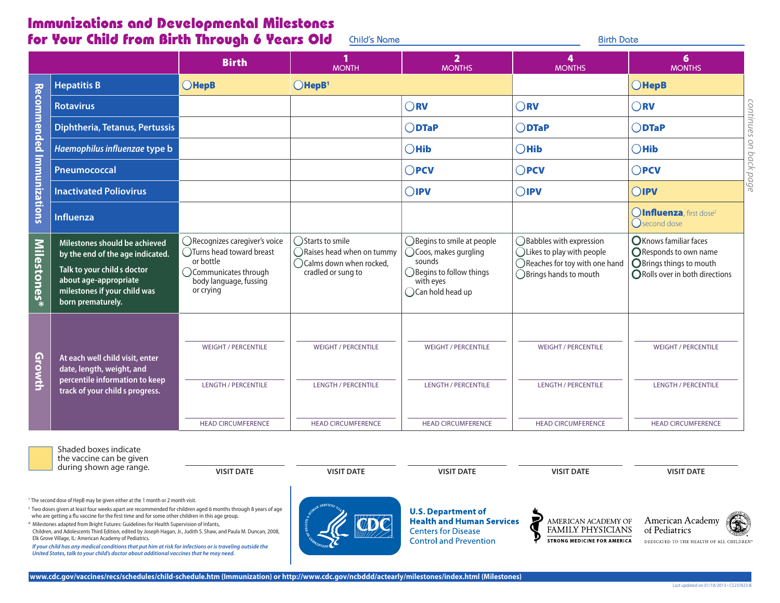## Immunizations and Developmental Milestones for Your Child from Birth Through 6 Years Old <u>Child's Name **Birth Date** Birth Date</u> Birth Date</u>

|                           |                                                                                                                                                                                                                                                                                                                                                                                                                                                                                                                                                                                                                                                                                                                                                                                                                                                                                                                                            | <b>Birth</b>                                                                                                                             | <b>MONTH</b>                                                                                                       | $\overline{\mathbf{2}}$<br><b>MONTHS</b>                                                                                                 | 4<br><b>MONTHS</b>                                                                                                            | 6<br><b>MONTHS</b>                                                                                           |
|---------------------------|--------------------------------------------------------------------------------------------------------------------------------------------------------------------------------------------------------------------------------------------------------------------------------------------------------------------------------------------------------------------------------------------------------------------------------------------------------------------------------------------------------------------------------------------------------------------------------------------------------------------------------------------------------------------------------------------------------------------------------------------------------------------------------------------------------------------------------------------------------------------------------------------------------------------------------------------|------------------------------------------------------------------------------------------------------------------------------------------|--------------------------------------------------------------------------------------------------------------------|------------------------------------------------------------------------------------------------------------------------------------------|-------------------------------------------------------------------------------------------------------------------------------|--------------------------------------------------------------------------------------------------------------|
|                           | <b>Hepatitis B</b>                                                                                                                                                                                                                                                                                                                                                                                                                                                                                                                                                                                                                                                                                                                                                                                                                                                                                                                         | $O$ HepB                                                                                                                                 | $O$ HepB <sup>1</sup>                                                                                              |                                                                                                                                          |                                                                                                                               | $O$ HepB                                                                                                     |
| Recommended Immunizations | <b>Rotavirus</b>                                                                                                                                                                                                                                                                                                                                                                                                                                                                                                                                                                                                                                                                                                                                                                                                                                                                                                                           |                                                                                                                                          |                                                                                                                    | $\bigcirc$ RV                                                                                                                            | $\bigcirc$ <sub>RV</sub>                                                                                                      | $\bigcirc$ RV                                                                                                |
|                           | <b>Diphtheria, Tetanus, Pertussis</b>                                                                                                                                                                                                                                                                                                                                                                                                                                                                                                                                                                                                                                                                                                                                                                                                                                                                                                      |                                                                                                                                          |                                                                                                                    | $\bigcirc$ DTaP                                                                                                                          | $OD$ TaP                                                                                                                      | continues<br>$\bigcirc$ DTaP                                                                                 |
|                           | Haemophilus influenzae type b                                                                                                                                                                                                                                                                                                                                                                                                                                                                                                                                                                                                                                                                                                                                                                                                                                                                                                              |                                                                                                                                          |                                                                                                                    | $\bigcirc$ Hib                                                                                                                           | $O$ Hib                                                                                                                       | 9U<br>$\bigcirc$ Hib<br>pq                                                                                   |
|                           | Pneumococcal                                                                                                                                                                                                                                                                                                                                                                                                                                                                                                                                                                                                                                                                                                                                                                                                                                                                                                                               |                                                                                                                                          |                                                                                                                    | $\bigcirc$ PCV                                                                                                                           | $\bigcirc$ PCV                                                                                                                | ck<br>$\bigcirc$ PCV<br>pd                                                                                   |
|                           | <b>Inactivated Poliovirus</b>                                                                                                                                                                                                                                                                                                                                                                                                                                                                                                                                                                                                                                                                                                                                                                                                                                                                                                              |                                                                                                                                          |                                                                                                                    | $\bigcirc$ ipv                                                                                                                           | $O$ <b>IPV</b>                                                                                                                | дG<br>OIPV                                                                                                   |
|                           | <b>Influenza</b>                                                                                                                                                                                                                                                                                                                                                                                                                                                                                                                                                                                                                                                                                                                                                                                                                                                                                                                           |                                                                                                                                          |                                                                                                                    |                                                                                                                                          |                                                                                                                               | OInfluenza, first dose <sup>2</sup><br>(Second dose                                                          |
| Milestones*               | Milestones should be achieved<br>by the end of the age indicated.<br>Talk to your child s doctor<br>about age-appropriate<br>milestones if your child was<br>born prematurely.                                                                                                                                                                                                                                                                                                                                                                                                                                                                                                                                                                                                                                                                                                                                                             | ○Recognizes caregiver's voice<br>◯Turns head toward breast<br>or bottle<br>◯ Communicates through<br>body language, fussing<br>or crying | ◯Starts to smile<br>$\bigcap$ Raises head when on tummy<br>$\bigcap$ Calms down when rocked,<br>cradled or sung to | ◯ Begins to smile at people<br>◯ Coos, makes gurgling<br>sounds<br>◯ Begins to follow things<br>with eyes<br>$\bigcirc$ Can hold head up | ◯ Babbles with expression<br>$\bigcap$ Likes to play with people<br>◯ Reaches for toy with one hand<br>◯Brings hands to mouth | OKnows familiar faces<br>OResponds to own name<br>OBrings things to mouth<br>○ Rolls over in both directions |
| Growth                    | At each well child visit, enter<br>date, length, weight, and<br>percentile information to keep<br>track of your child s progress.                                                                                                                                                                                                                                                                                                                                                                                                                                                                                                                                                                                                                                                                                                                                                                                                          | <b>WEIGHT / PERCENTILE</b><br><b>LENGTH / PERCENTILE</b><br><b>HEAD CIRCUMFERENCE</b>                                                    | <b>WEIGHT / PERCENTILE</b><br><b>LENGTH / PERCENTILE</b><br><b>HEAD CIRCUMFERENCE</b>                              | <b>WEIGHT / PERCENTILE</b><br><b>LENGTH / PERCENTILE</b><br><b>HEAD CIRCUMFERENCE</b>                                                    | <b>WEIGHT / PERCENTILE</b><br><b>LENGTH / PERCENTILE</b><br><b>HEAD CIRCUMFERENCE</b>                                         | <b>WEIGHT / PERCENTILE</b><br><b>LENGTH / PERCENTILE</b><br><b>HEAD CIRCUMFERENCE</b>                        |
|                           | Shaded boxes indicate<br>the vaccine can be given<br>during shown age range.                                                                                                                                                                                                                                                                                                                                                                                                                                                                                                                                                                                                                                                                                                                                                                                                                                                               | <b>VISIT DATE</b>                                                                                                                        | <b>VISIT DATE</b>                                                                                                  | <b>VISIT DATE</b>                                                                                                                        | <b>VISIT DATE</b>                                                                                                             | <b>VISIT DATE</b>                                                                                            |
|                           | The second dose of HepB may be given either at the 1 month or 2 month visit.<br><sup>2</sup> Two doses given at least four weeks apart are recommended for children aged 6 months through 8 years of age<br>who are getting a flu vaccine for the first time and for some other children in this age group.<br>Milestones adapted from Bright Futures: Guidelines for Health Supervision of Infants,<br>Children, and Adolescents Third Edition, edited by Joseph Hagan, Jr., Judith S. Shaw, and Paula M. Duncan, 2008,<br>Elk Grove Village, IL: American Academy of Pediatrics.<br>If your child has any medical conditions that put him at risk for infections or is traveling outside the<br>United States, talk to your child's doctor about additional vaccines that he may need.<br>www.cdc.gov/vaccines/recs/schedules/child-schedule.htm (Immunization) or http://www.cdc.gov/ncbddd/actearly/milestones/index.html (Milestones) |                                                                                                                                          |                                                                                                                    | <b>U.S. Department of</b><br><b>Health and Human Services</b><br><b>Centers for Disease</b><br><b>Control and Prevention</b>             | AMERICAN ACADEMY OF FAMILY PHYSICIANS<br><b>STRONG MEDICINE FOR AMERICA</b>                                                   | American Academy<br>of Pediatrics<br>DEDICATED TO THE HEALTH OF ALL CHILDREN'                                |